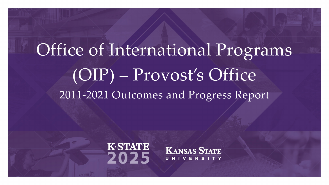### Office of International Programs (OIP) – Provost's Office 2011-2021 Outcomes and Progress Report



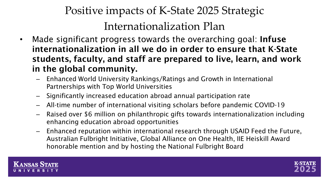### Positive impacts of K-State 2025 Strategic Internationalization Plan

- Made significant progress towards the overarching goal: Infuse internationalization in all we do in order to ensure that K-State students, faculty, and staff are prepared to live, learn, and work in the global community.
	- Enhanced World University Rankings/Ratings and Growth in International Partnerships with Top World Universities
	- Significantly increased education abroad annual participation rate
	- All-time number of international visiting scholars before pandemic COVID-19
	- Raised over \$6 million on philanthropic gifts towards internationalization including enhancing education abroad opportunities
	- Enhanced reputation within international research through USAID Feed the Future, Australian Fulbright Initiative, Global Alliance on One Health, IIE Heiskill Award honorable mention and by hosting the National Fulbright Board



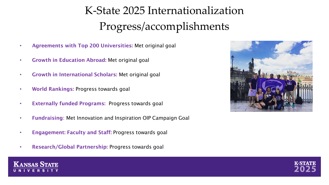### K-State 2025 Internationalization Progress/accomplishments

- Agreements with Top 200 Universities: Met original goal
- Growth in Education Abroad: Met original goal
- Growth in International Scholars: Met original goal
- World Rankings: Progress towards goal
- Externally funded Programs: Progress towards goal
- Fundraising: Met Innovation and Inspiration OIP Campaign Goal
- Engagement: Faculty and Staff: Progress towards goal
- Research/Global Partnership: Progress towards goal





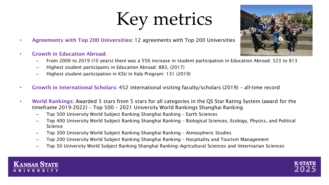## Key metrics

- Agreements with Top 200 Universities: 12 agreements with Top 200 Universities
- Growth in Education Abroad:
	- From 2009 to 2019 (10 years) there was a 55% increase in student participation in Education Abroad; 523 to 813
	- Highest student participants in Education Abroad: 883, (2017)
	- Highest student participation in KSU in Italy Program: 131 (2019)
- Growth in International Scholars: 452 international visiting faculty/scholars (2019) all-time record
- World Rankings: Awarded 5 stars from 5 stars for all categories in the QS Star Rating System (award for the timeframe 2019-2022) – Top 500 – 2021 University World Rankings Shanghai Ranking
	- Top 500 University World Subject Ranking Shanghai Ranking Earth Sciences
	- Top 400 University World Subject Ranking Shanghai Ranking Biological Sciences, Ecology, Physics, and Political Science
	- Top 300 University World Subject Ranking Shanghai Ranking Atmospheric Studies
	- Top 200 University World Subject Ranking Shanghai Ranking Hospitality and Tourism Management
	- Top 50 University World Subject Ranking Shanghai Ranking–Agricultural Sciences and Veterinarian Sciences





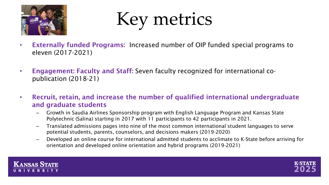

Key metrics

- Externally funded Programs: Increased number of OIP funded special programs to eleven (2017-2021)
- Engagement: Faculty and Staff: Seven faculty recognized for international copublication (2018-21)
- Recruit, retain, and increase the number of qualified international undergraduate and graduate students
	- Growth in Saudia Airlines Sponsorship program with English Language Program and Kansas State Polytechnic (Salina) starting in 2017 with 11 participants to 42 participants in 2021.
	- Translated admissions pages into nine of the most common international student languages to serve potential students, parents, counselors, and decisions makers (2019-2020)
	- Developed an online course for international admitted students to acclimate to K-State before arriving for orientation and developed online orientation and hybrid programs (2019-2021)



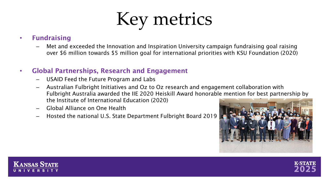## Key metrics

#### • Fundraising

– Met and exceeded the Innovation and Inspiration University campaign fundraising goal raising over \$6 million towards \$5 million goal for international priorities with KSU Foundation (2020)

#### • Global Partnerships, Research and Engagement

- USAID Feed the Future Program and Labs
- Australian Fulbright Initiatives and Oz to Oz research and engagement collaboration with Fulbright Australia awarded the IIE 2020 Heiskill Award honorable mention for best partnership by the Institute of International Education (2020)
- Global Alliance on One Health
- Hosted the national U.S. State Department Fulbright Board 2019